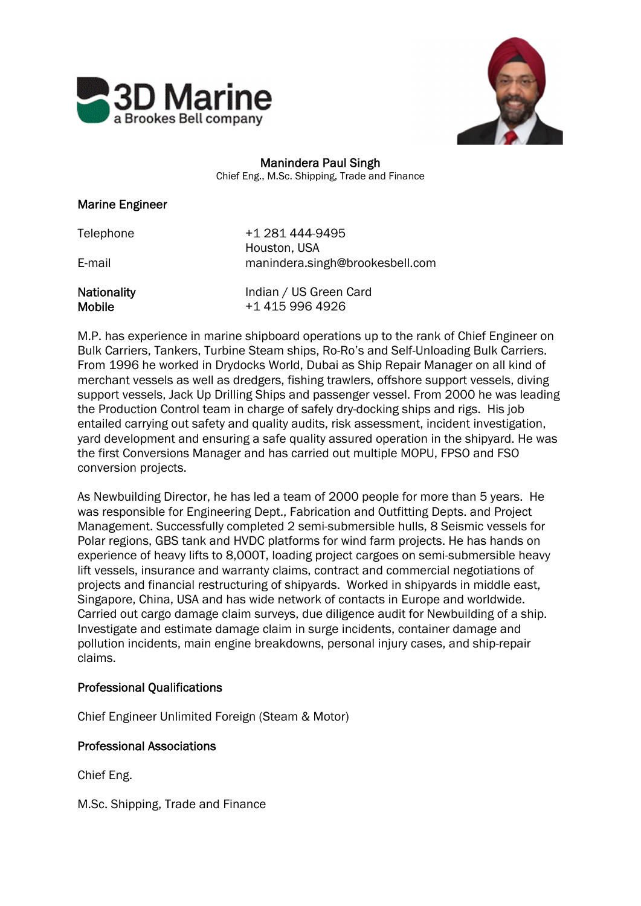



# Manindera Paul Singh

Chief Eng., M.Sc. Shipping, Trade and Finance

### Marine Engineer

| Telephone                           | +1 281 444-9495<br>Houston, USA           |
|-------------------------------------|-------------------------------------------|
| E-mail                              | manindera.singh@brookesbell.com           |
| <b>Nationality</b><br><b>Mobile</b> | Indian / US Green Card<br>+1 415 996 4926 |

M.P. has experience in marine shipboard operations up to the rank of Chief Engineer on Bulk Carriers, Tankers, Turbine Steam ships, Ro-Ro's and Self-Unloading Bulk Carriers. From 1996 he worked in Drydocks World, Dubai as Ship Repair Manager on all kind of merchant vessels as well as dredgers, fishing trawlers, offshore support vessels, diving support vessels, Jack Up Drilling Ships and passenger vessel. From 2000 he was leading the Production Control team in charge of safely dry-docking ships and rigs. His job entailed carrying out safety and quality audits, risk assessment, incident investigation, yard development and ensuring a safe quality assured operation in the shipyard. He was the first Conversions Manager and has carried out multiple MOPU, FPSO and FSO conversion projects.

As Newbuilding Director, he has led a team of 2000 people for more than 5 years. He was responsible for Engineering Dept., Fabrication and Outfitting Depts. and Project Management. Successfully completed 2 semi-submersible hulls, 8 Seismic vessels for Polar regions, GBS tank and HVDC platforms for wind farm projects. He has hands on experience of heavy lifts to 8,000T, loading project cargoes on semi-submersible heavy lift vessels, insurance and warranty claims, contract and commercial negotiations of projects and financial restructuring of shipyards. Worked in shipyards in middle east, Singapore, China, USA and has wide network of contacts in Europe and worldwide. Carried out cargo damage claim surveys, due diligence audit for Newbuilding of a ship. Investigate and estimate damage claim in surge incidents, container damage and pollution incidents, main engine breakdowns, personal injury cases, and ship-repair claims.

## Professional Qualifications

Chief Engineer Unlimited Foreign (Steam & Motor)

## Professional Associations

Chief Eng.

M.Sc. Shipping, Trade and Finance